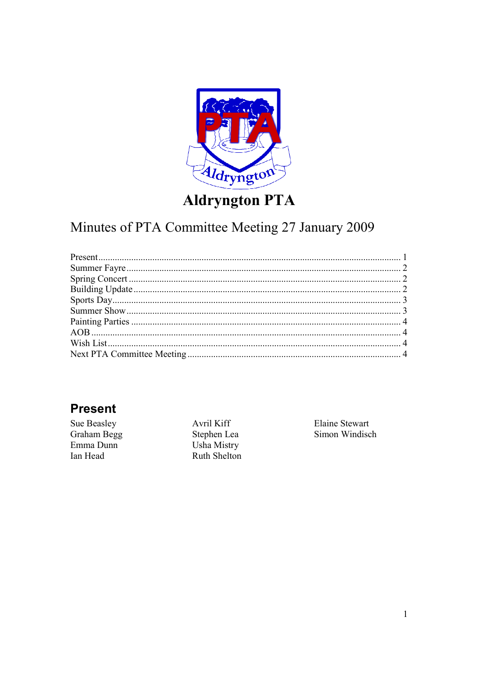

# **Aldryngton PTA**

# Minutes of PTA Committee Meeting 27 January 2009

#### **Present**

Sue Beasley Graham Begg Emma Dunn Ian Head

Avril Kiff Stephen Lea Usha Mistry Ruth Shelton Elaine Stewart Simon Windisch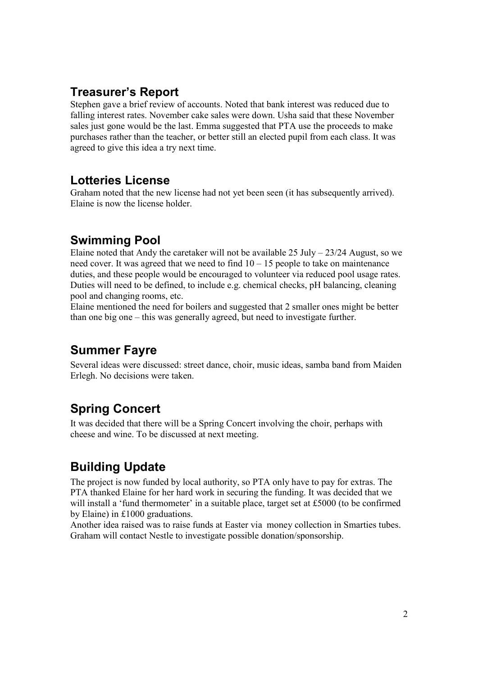#### **Treasurer's Report**

Stephen gave a brief review of accounts. Noted that bank interest was reduced due to falling interest rates. November cake sales were down. Usha said that these November sales just gone would be the last. Emma suggested that PTA use the proceeds to make purchases rather than the teacher, or better still an elected pupil from each class. It was agreed to give this idea a try next time.

#### **Lotteries License**

Graham noted that the new license had not yet been seen (it has subsequently arrived). Elaine is now the license holder.

#### **Swimming Pool**

Elaine noted that Andy the caretaker will not be available  $25 \text{ July} - 23/24$  August, so we need cover. It was agreed that we need to find 10 – 15 people to take on maintenance duties, and these people would be encouraged to volunteer via reduced pool usage rates. Duties will need to be defined, to include e.g. chemical checks, pH balancing, cleaning pool and changing rooms, etc.

Elaine mentioned the need for boilers and suggested that 2 smaller ones might be better than one big one – this was generally agreed, but need to investigate further.

#### **Summer Fayre**

Several ideas were discussed: street dance, choir, music ideas, samba band from Maiden Erlegh. No decisions were taken.

## **Spring Concert**

It was decided that there will be a Spring Concert involving the choir, perhaps with cheese and wine. To be discussed at next meeting.

## **Building Update**

The project is now funded by local authority, so PTA only have to pay for extras. The PTA thanked Elaine for her hard work in securing the funding. It was decided that we will install a 'fund thermometer' in a suitable place, target set at £5000 (to be confirmed by Elaine) in £1000 graduations.

Another idea raised was to raise funds at Easter via money collection in Smarties tubes. Graham will contact Nestle to investigate possible donation/sponsorship.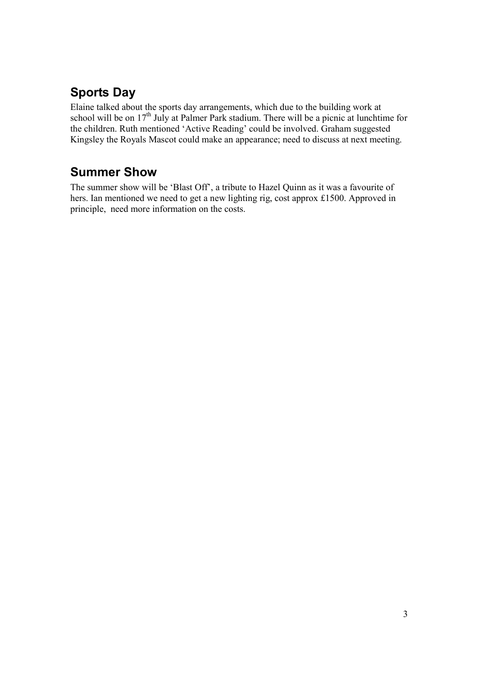# **Sports Day**

Elaine talked about the sports day arrangements, which due to the building work at school will be on  $17<sup>th</sup>$  July at Palmer Park stadium. There will be a picnic at lunchtime for the children. Ruth mentioned 'Active Reading' could be involved. Graham suggested Kingsley the Royals Mascot could make an appearance; need to discuss at next meeting.

## **Summer Show**

The summer show will be 'Blast Off', a tribute to Hazel Quinn as it was a favourite of hers. Ian mentioned we need to get a new lighting rig, cost approx £1500. Approved in principle, need more information on the costs.